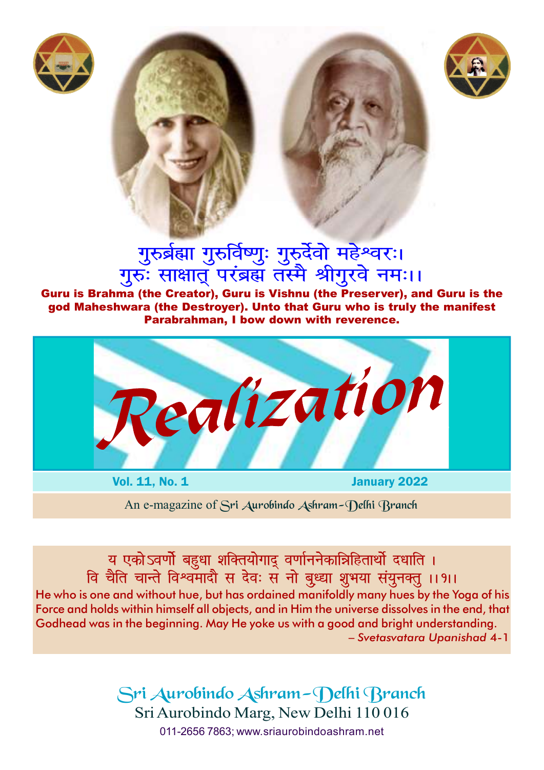



# गुरुर्ब्रह्मा गुरुर्विष्णुः गुरु<mark>र्देवो महेश्वरः</mark>। ्ड स्टेल्स डेल्ट्रेड डेल्के आर्जेन में सारा

Guru is Brahma (the Creator), Guru is Vishnu (the Preserver), and Guru is the god Maheshwara (the Destroyer). Unto that Guru who is truly the manifest Parabrahman, I bow down with reverence.



An e-magazine of Sri Aurobindo Ashram-Delhi Branch

य एको ऽवर्णो बहुधा शक्तियोगाद् वर्णाननेकान्निहितार्थो दधाति । वि चैति चान्ते विश्वमादौ स देवः स नो बृध्या शुभया संयुनक्तु ।। १।। He who is one and without hue, but has ordained manifoldly many hues by the Yoga of his Force and holds within himself all objects, and in Him the universe dissolves in the end, that Godhead was in the beginning. May He yoke us with a good and bright understanding. – Svetasvatara Upanishad 4-1

> Sri Aurobindo Ashram-Delhi Branch Sri Aurobindo Marg, New Delhi 110 016 011-2656 7863; www.sriaurobindoashram.net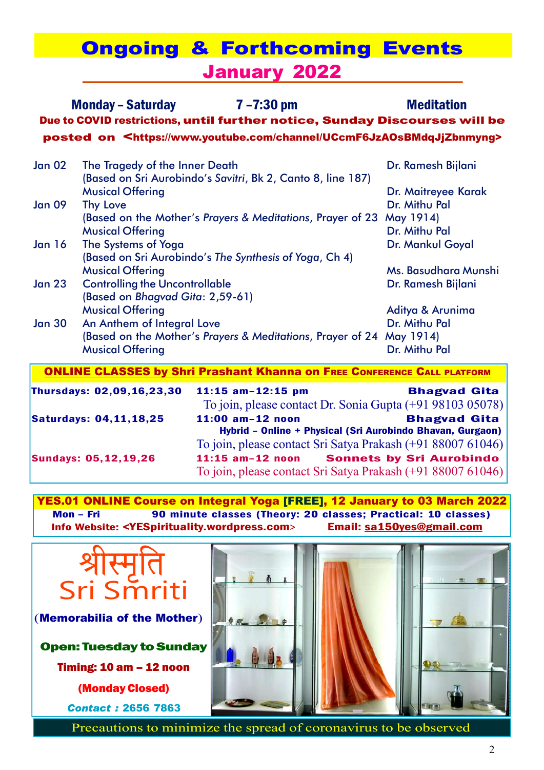## **Ongoing & Forthcoming Events** January 2022

|                                                                                       | <b>Monday - Saturday</b><br>$7 - 7:30$ pm                                                     | <b>Meditation</b>    |  |  |  |  |  |
|---------------------------------------------------------------------------------------|-----------------------------------------------------------------------------------------------|----------------------|--|--|--|--|--|
|                                                                                       | Due to COVID restrictions, until further notice, Sunday Discourses will be                    |                      |  |  |  |  |  |
| posted on <https: channel="" uccmf6jzaosbmdqjjzbnmyng="" www.youtube.com=""></https:> |                                                                                               |                      |  |  |  |  |  |
| Jan 02                                                                                | The Tragedy of the Inner Death<br>(Based on Sri Aurobindo's Savitri, Bk 2, Canto 8, line 187) | Dr. Ramesh Bijlani   |  |  |  |  |  |
|                                                                                       | <b>Musical Offering</b>                                                                       | Dr. Maitreyee Karak  |  |  |  |  |  |
| Jan 09                                                                                | <b>Thy Love</b>                                                                               | Dr. Mithu Pal        |  |  |  |  |  |
|                                                                                       | (Based on the Mother's Prayers & Meditations, Prayer of 23 May 1914)                          |                      |  |  |  |  |  |
|                                                                                       | <b>Musical Offering</b>                                                                       | Dr. Mithu Pal        |  |  |  |  |  |
| Jan 16                                                                                | The Systems of Yoga                                                                           | Dr. Mankul Goyal     |  |  |  |  |  |
|                                                                                       | (Based on Sri Aurobindo's The Synthesis of Yoga, Ch 4)                                        |                      |  |  |  |  |  |
|                                                                                       | <b>Musical Offering</b>                                                                       | Ms. Basudhara Munshi |  |  |  |  |  |
| <b>Jan 23</b>                                                                         | <b>Controlling the Uncontrollable</b>                                                         | Dr. Ramesh Bijlani   |  |  |  |  |  |
|                                                                                       | (Based on Bhagvad Gita: 2,59-61)                                                              |                      |  |  |  |  |  |
|                                                                                       | <b>Musical Offering</b>                                                                       | Aditya & Arunima     |  |  |  |  |  |
| <b>Jan 30</b>                                                                         | An Anthem of Integral Love                                                                    | Dr. Mithu Pal        |  |  |  |  |  |
|                                                                                       | (Based on the Mother's Prayers & Meditations, Prayer of 24 May 1914)                          |                      |  |  |  |  |  |
|                                                                                       | <b>Musical Offering</b>                                                                       | Dr. Mithu Pal        |  |  |  |  |  |

**ONLINE CLASSES by Shri Prashant Khanna on FREE CONFERENCE CALL PLATFORM** 

| Thursdays: 02,09,16,23,30 | $11:15$ am-12:15 pm                                         | <b>Bhagvad Gita</b>             |  |
|---------------------------|-------------------------------------------------------------|---------------------------------|--|
|                           | To join, please contact Dr. Sonia Gupta (+91 98103 05078)   |                                 |  |
| Saturdays: 04,11,18,25    | 11:00 am-12 noon                                            | <b>Bhagvad Gita</b>             |  |
|                           | Hybrid - Online + Physical (Sri Aurobindo Bhavan, Gurgaon)  |                                 |  |
|                           | To join, please contact Sri Satya Prakash (+91 88007 61046) |                                 |  |
| Sundays: 05,12,19,26      | 11:15 am-12 noon                                            | <b>Sonnets by Sri Aurobindo</b> |  |
|                           | To join, please contact Sri Satya Prakash (+91 88007 61046) |                                 |  |

YES.01 ONLINE Course on Integral Yoga [FREE], 12 January to 03 March 2022 Mon – Fri 90 minute classes (Theory: 20 classes; Practical: 10 classes) Info Website: <YESpirituality.wordpress.com> Email: sa150yes@gmail.com

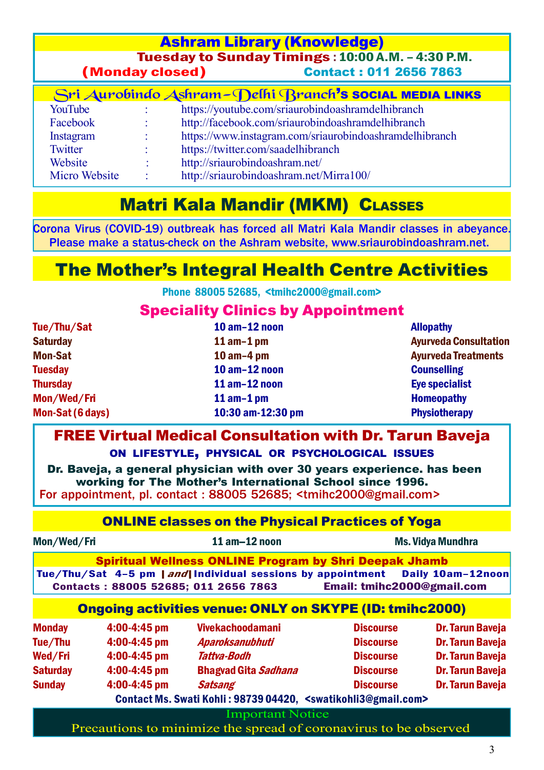#### Ashram Library (Knowledge) Tuesday to Sunday Timings : 10:00 A.M. - 4:30 P.M.<br>Contact : 011 2656 7863 (Monday closed) Contact : 011 2656 7863

|               |                | Sri Aurobindo Ashram-Delhi Branch's social MEDIA LINKS  |
|---------------|----------------|---------------------------------------------------------|
| YouTube       |                | https://youtube.com/sriaurobindoashramdelhibranch       |
| Facebook      |                | http://facebook.com/sriaurobindoashramdelhibranch       |
| Instagram     |                | https://www.instagram.com/sriaurobindoashramdelhibranch |
| Twitter       |                | https://twitter.com/saadelhibranch                      |
| Website       |                | http://sriaurobindoashram.net/                          |
| Micro Website | $\mathbb{R}^2$ | http://sriaurobindoashram.net/Mirra100/                 |

## Matri Kala Mandir (MKM) CLASSES

Corona Virus (COVID-19) outbreak has forced all Matri Kala Mandir classes in abeyance. Please make a status-check on the Ashram website, www.sriaurobindoashram.net.

## The Mother's Integral Health Centre Activities

Phone 88005 52685, <tmihc2000@gmail.com>

### Speciality Clinics by Appointment

| Tue/Thu/Sat      | 10 am-12 noon     | <b>Allopathy</b>             |
|------------------|-------------------|------------------------------|
| <b>Saturday</b>  | 11 am $-1$ pm     | <b>Ayurveda Consultation</b> |
| <b>Mon-Sat</b>   | $10$ am-4 pm      | <b>Ayurveda Treatments</b>   |
| <b>Tuesday</b>   | 10 am-12 noon     | <b>Counselling</b>           |
| <b>Thursday</b>  | 11 am-12 noon     | <b>Eye specialist</b>        |
| Mon/Wed/Fri      | 11 $am-1$ pm      | <b>Homeopathy</b>            |
| Mon-Sat (6 days) | 10:30 am-12:30 pm | <b>Physiotherapy</b>         |

### FREE Virtual Medical Consultation with Dr. Tarun Baveja ON LIFESTYLE, PHYSICAL OR PSYCHOLOGICAL ISSUES

Dr. Baveja, a general physician with over 30 years experience. has been working for The Mother's International School since 1996. For appointment, pl. contact : 88005 52685; <tmihc2000@gmail.com>

### ONLINE classes on the Physical Practices of Yoga

| Mon/Wed/Fri                                                                                                                                             |                  | 11 am-12 noon               |                  | <b>Ms. Vidya Mundhra</b> |  |  |  |
|---------------------------------------------------------------------------------------------------------------------------------------------------------|------------------|-----------------------------|------------------|--------------------------|--|--|--|
| <b>Spiritual Wellness ONLINE Program by Shri Deepak Jhamb</b>                                                                                           |                  |                             |                  |                          |  |  |  |
| Tue/Thu/Sat 4-5 pm   and  Individual sessions by appointment<br>Daily 10am-12noon<br>Email: tmihc2000@gmail.com<br>Contacts: 88005 52685; 011 2656 7863 |                  |                             |                  |                          |  |  |  |
| <b>Ongoing activities venue: ONLY on SKYPE (ID: tmihc2000)</b>                                                                                          |                  |                             |                  |                          |  |  |  |
| <b>Monday</b>                                                                                                                                           | $4:00-4:45$ pm   | <b>Vivekachoodamani</b>     | <b>Discourse</b> | <b>Dr. Tarun Baveja</b>  |  |  |  |
| Tue/Thu                                                                                                                                                 | $4:00-4:45$ pm   | Aparoksanubhuti             | <b>Discourse</b> | <b>Dr. Tarun Baveja</b>  |  |  |  |
| Wed/Fri                                                                                                                                                 | 4:00-4:45 pm     | Tattva-Bodh                 | <b>Discourse</b> | <b>Dr. Tarun Baveja</b>  |  |  |  |
| <b>Saturday</b>                                                                                                                                         | $4:00 - 4:45$ pm | <b>Bhagvad Gita Sadhana</b> | <b>Discourse</b> | <b>Dr. Tarun Baveja</b>  |  |  |  |
| <b>Sunday</b>                                                                                                                                           | 4:00-4:45 pm     | <b>Satsang</b>              | <b>Discourse</b> | <b>Dr. Tarun Baveja</b>  |  |  |  |
| Contact Ms. Swati Kohli: 98739 04420, <swatikohli3@gmail.com></swatikohli3@gmail.com>                                                                   |                  |                             |                  |                          |  |  |  |
| <b>Important Notice</b>                                                                                                                                 |                  |                             |                  |                          |  |  |  |

Precautions to minimize the spread of coronavirus to be observed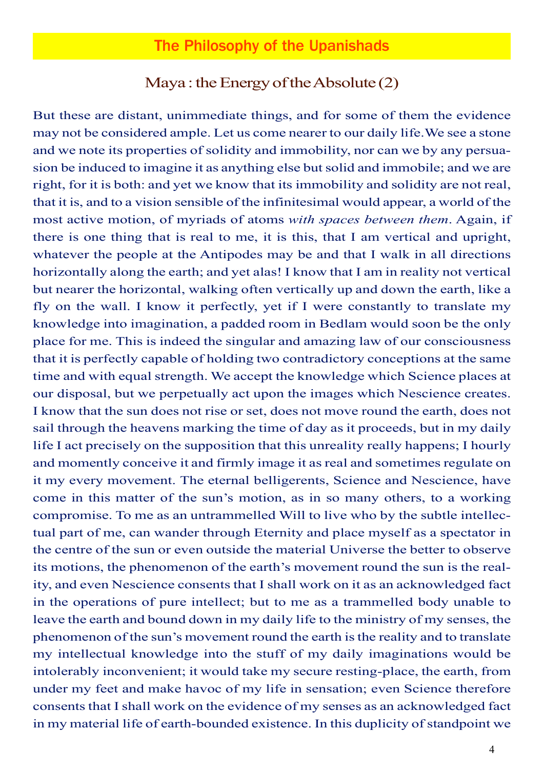### Maya : the Energy of the Absolute (2)

But these are distant, unimmediate things, and for some of them the evidence may not be considered ample. Let us come nearer to our daily life.We see a stone and we note its properties of solidity and immobility, nor can we by any persuasion be induced to imagine it as anything else but solid and immobile; and we are right, for it is both: and yet we know that its immobility and solidity are not real, that it is, and to a vision sensible of the infinitesimal would appear, a world of the most active motion, of myriads of atoms with spaces between them. Again, if there is one thing that is real to me, it is this, that I am vertical and upright, whatever the people at the Antipodes may be and that I walk in all directions horizontally along the earth; and yet alas! I know that I am in reality not vertical but nearer the horizontal, walking often vertically up and down the earth, like a fly on the wall. I know it perfectly, yet if I were constantly to translate my knowledge into imagination, a padded room in Bedlam would soon be the only place for me. This is indeed the singular and amazing law of our consciousness that it is perfectly capable of holding two contradictory conceptions at the same time and with equal strength. We accept the knowledge which Science places at our disposal, but we perpetually act upon the images which Nescience creates. I know that the sun does not rise or set, does not move round the earth, does not sail through the heavens marking the time of day as it proceeds, but in my daily life I act precisely on the supposition that this unreality really happens; I hourly and momently conceive it and firmly image it as real and sometimes regulate on it my every movement. The eternal belligerents, Science and Nescience, have come in this matter of the sun's motion, as in so many others, to a working compromise. To me as an untrammelled Will to live who by the subtle intellectual part of me, can wander through Eternity and place myself as a spectator in the centre of the sun or even outside the material Universe the better to observe its motions, the phenomenon of the earth's movement round the sun is the reality, and even Nescience consents that I shall work on it as an acknowledged fact in the operations of pure intellect; but to me as a trammelled body unable to leave the earth and bound down in my daily life to the ministry of my senses, the phenomenon of the sun's movement round the earth is the reality and to translate my intellectual knowledge into the stuff of my daily imaginations would be intolerably inconvenient; it would take my secure resting-place, the earth, from under my feet and make havoc of my life in sensation; even Science therefore consents that I shall work on the evidence of my senses as an acknowledged fact in my material life of earth-bounded existence. In this duplicity of standpoint we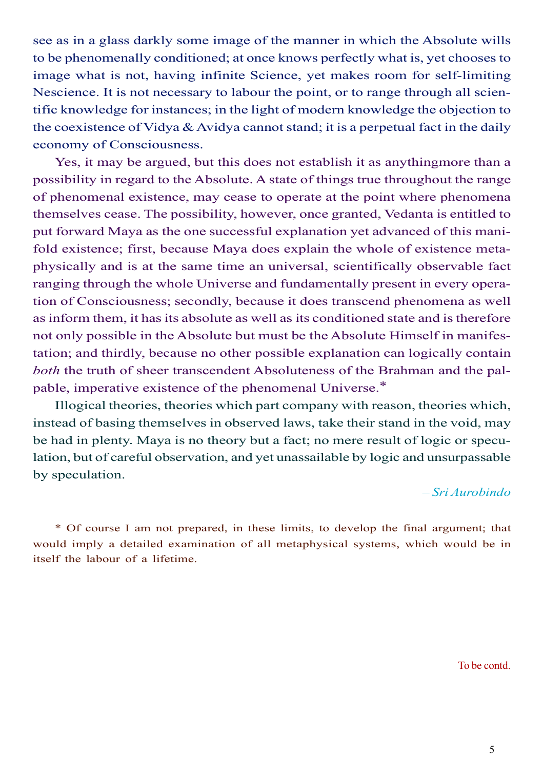see as in a glass darkly some image of the manner in which the Absolute wills to be phenomenally conditioned; at once knows perfectly what is, yet chooses to image what is not, having infinite Science, yet makes room for self-limiting Nescience. It is not necessary to labour the point, or to range through all scientific knowledge for instances; in the light of modern knowledge the objection to the coexistence of Vidya & Avidya cannot stand; it is a perpetual fact in the daily economy of Consciousness.

Yes, it may be argued, but this does not establish it as anythingmore than a possibility in regard to the Absolute. A state of things true throughout the range of phenomenal existence, may cease to operate at the point where phenomena themselves cease. The possibility, however, once granted, Vedanta is entitled to put forward Maya as the one successful explanation yet advanced of this manifold existence; first, because Maya does explain the whole of existence metaphysically and is at the same time an universal, scientifically observable fact ranging through the whole Universe and fundamentally present in every operation of Consciousness; secondly, because it does transcend phenomena as well as inform them, it has its absolute as well as its conditioned state and is therefore not only possible in the Absolute but must be the Absolute Himself in manifestation; and thirdly, because no other possible explanation can logically contain both the truth of sheer transcendent Absoluteness of the Brahman and the palpable, imperative existence of the phenomenal Universe.\*

Illogical theories, theories which part company with reason, theories which, instead of basing themselves in observed laws, take their stand in the void, may be had in plenty. Maya is no theory but a fact; no mere result of logic or speculation, but of careful observation, and yet unassailable by logic and unsurpassable by speculation.

#### – Sri Aurobindo

\* Of course I am not prepared, in these limits, to develop the final argument; that would imply a detailed examination of all metaphysical systems, which would be in itself the labour of a lifetime.

#### To be contd.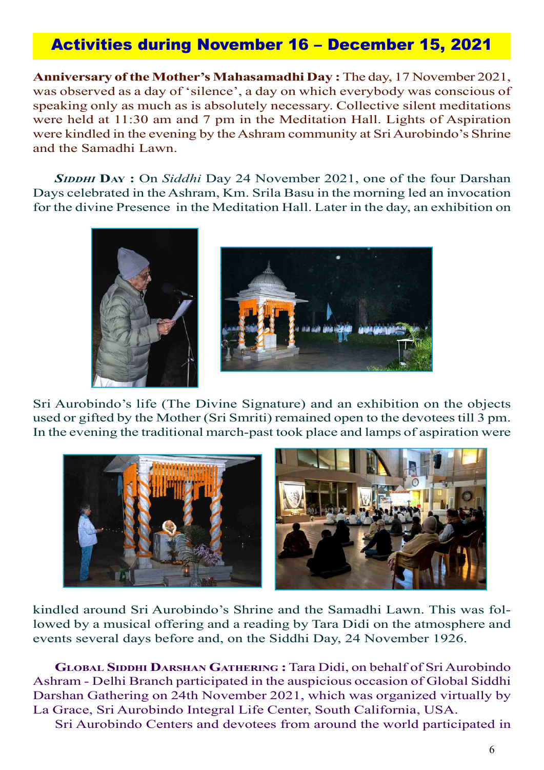## Activities during November 16 – December 15, 2021

Anniversary of the Mother's Mahasamadhi Day : The day, 17 November 2021, was observed as a day of 'silence', a day on which everybody was conscious of speaking only as much as is absolutely necessary. Collective silent meditations were held at 11:30 am and 7 pm in the Meditation Hall. Lights of Aspiration were kindled in the evening by the Ashram community at Sri Aurobindo's Shrine and the Samadhi Lawn.

SIDDHI DAY : On Siddhi Day 24 November 2021, one of the four Darshan Days celebrated in the Ashram, Km. Srila Basu in the morning led an invocation for the divine Presence in the Meditation Hall. Later in the day, an exhibition on



Sri Aurobindo's life (The Divine Signature) and an exhibition on the objects used or gifted by the Mother (Sri Smriti) remained open to the devotees till 3 pm. In the evening the traditional march-past took place and lamps of aspiration were



kindled around Sri Aurobindo's Shrine and the Samadhi Lawn. This was followed by a musical offering and a reading by Tara Didi on the atmosphere and events several days before and, on the Siddhi Day, 24 November 1926.

GLOBAL SIDDHI DARSHAN GATHERING : Tara Didi, on behalf of Sri Aurobindo Ashram - Delhi Branch participated in the auspicious occasion of Global Siddhi Darshan Gathering on 24th November 2021, which was organized virtually by La Grace, Sri Aurobindo Integral Life Center, South California, USA.

Sri Aurobindo Centers and devotees from around the world participated in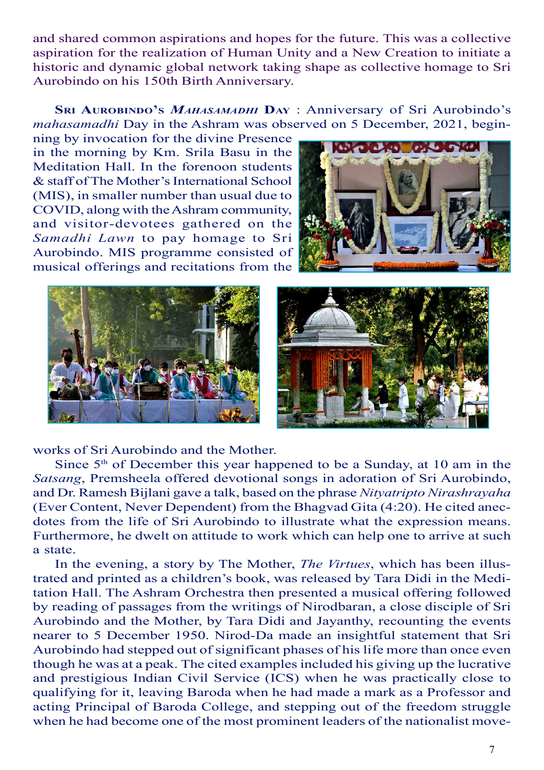and shared common aspirations and hopes for the future. This was a collective aspiration for the realization of Human Unity and a New Creation to initiate a historic and dynamic global network taking shape as collective homage to Sri Aurobindo on his 150th Birth Anniversary.

SRI AUROBINDO'S MAHASAMADHI DAY : Anniversary of Sri Aurobindo's mahasamadhi Day in the Ashram was observed on 5 December, 2021, begin-

ning by invocation for the divine Presence in the morning by Km. Srila Basu in the Meditation Hall. In the forenoon students & staff of The Mother's International School (MIS), in smaller number than usual due to COVID, along with the Ashram community, and visitor-devotees gathered on the Samadhi Lawn to pay homage to Sri Aurobindo. MIS programme consisted of musical offerings and recitations from the







works of Sri Aurobindo and the Mother.

Since  $5<sup>th</sup>$  of December this year happened to be a Sunday, at 10 am in the Satsang, Premsheela offered devotional songs in adoration of Sri Aurobindo, and Dr. Ramesh Bijlani gave a talk, based on the phrase Nityatripto Nirashrayaha (Ever Content, Never Dependent) from the Bhagvad Gita (4:20). He cited anecdotes from the life of Sri Aurobindo to illustrate what the expression means. Furthermore, he dwelt on attitude to work which can help one to arrive at such a state.

In the evening, a story by The Mother, The Virtues, which has been illustrated and printed as a children's book, was released by Tara Didi in the Meditation Hall. The Ashram Orchestra then presented a musical offering followed by reading of passages from the writings of Nirodbaran, a close disciple of Sri Aurobindo and the Mother, by Tara Didi and Jayanthy, recounting the events nearer to 5 December 1950. Nirod-Da made an insightful statement that Sri Aurobindo had stepped out of significant phases of his life more than once even though he was at a peak. The cited examples included his giving up the lucrative and prestigious Indian Civil Service (ICS) when he was practically close to qualifying for it, leaving Baroda when he had made a mark as a Professor and acting Principal of Baroda College, and stepping out of the freedom struggle when he had become one of the most prominent leaders of the nationalist move-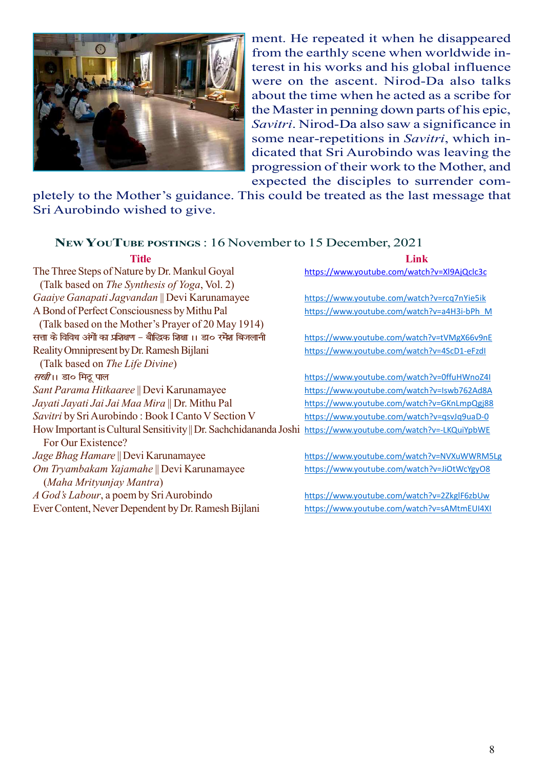

ment. He repeated it when he disappeared from the earthly scene when worldwide interest in his works and his global influence were on the ascent. Nirod-Da also talks about the time when he acted as a scribe for the Master in penning down parts of his epic, Savitri. Nirod-Da also saw a significance in some near-repetitions in Savitri, which indicated that Sri Aurobindo was leaving the progression of their work to the Mother, and expected the disciples to surrender com-

pletely to the Mother's guidance. This could be treated as the last message that Sri Aurobindo wished to give.

#### NEW YOUTUBE POSTINGS : 16 November to 15 December, 2021

How Important is Cultural Sensitivity || Dr. Sachchidananda Joshi https://www.youtube.com/watch?v=-LKQuiYpbWE The Three Steps of Nature by Dr. Mankul Goyal (Talk based on The Synthesis of Yoga, Vol. 2) Gaaiye Ganapati Jagvandan || Devi Karunamayee A Bond of Perfect Consciousness by Mithu Pal (Talk based on the Mother's Prayer of 20 May 1914) राता के विविध अंगों का प्रशिक्षण - बौद्धिक शिक्षा ।। डा० रमेश बिजलानी Reality Omnipresent by Dr. Ramesh Bijlani (Talk based on The Life Divine) *सखी* ।। डा० मिठ् पाल Sant Parama Hitkaaree || Devi Karunamayee Jayati Jayati Jai Jai Maa Mira || Dr. Mithu Pal Savitri by Sri Aurobindo : Book I Canto V Section V For Our Existence? Jage Bhag Hamare || Devi Karunamayee Om Tryambakam Yajamahe || Devi Karunamayee

(Maha Mrityunjay Mantra)

A God's Labour, a poem by Sri Aurobindo Ever Content, Never Dependent by Dr. Ramesh Bijlani

**Title** Link

https://www.youtube.com/watch?v=Xl9AjQclc3c

https://www.youtube.com/watch?v=rcq7nYie5ik https://www.youtube.com/watch?v=a4H3i-bPh\_M

https://www.youtube.com/watch?v=tVMgX66v9nE https://www.youtube.com/watch?v=4ScD1-eFzdI

https://www.youtube.com/watch?v=0ffuHWnoZ4I https://www.youtube.com/watch?v=Iswb762Ad8A https://www.youtube.com/watch?v=GKnLmpQgj88 https://www.youtube.com/watch?v=qsvJq9uaD-0

https://www.youtube.com/watch?v=NVXuWWRM5Lg https://www.youtube.com/watch?v=JiOtWcYgyO8

https://www.youtube.com/watch?v=2ZkglF6zbUw https://www.youtube.com/watch?v=sAMtmEUI4XI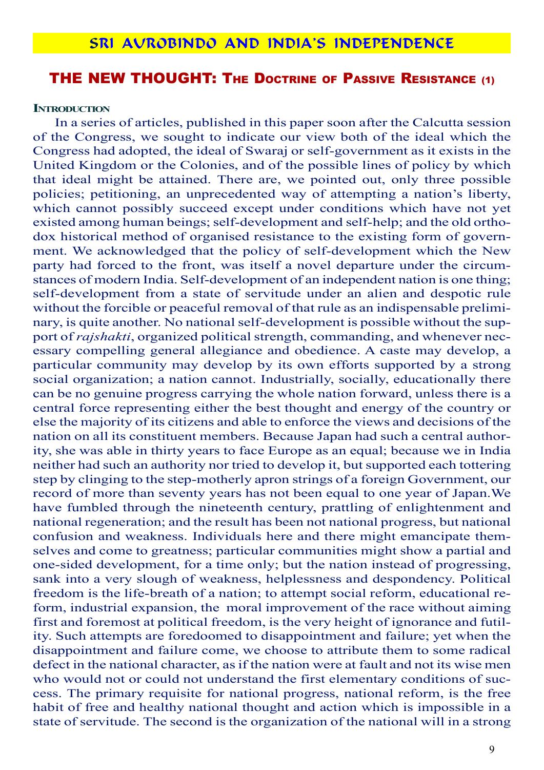#### THE NEW THOUGHT: THE DOCTRINE OF PASSIVE RESISTANCE (1)

#### **INTRODUCTION**

In a series of articles, published in this paper soon after the Calcutta session of the Congress, we sought to indicate our view both of the ideal which the Congress had adopted, the ideal of Swaraj or self-government as it exists in the United Kingdom or the Colonies, and of the possible lines of policy by which that ideal might be attained. There are, we pointed out, only three possible policies; petitioning, an unprecedented way of attempting a nation's liberty, which cannot possibly succeed except under conditions which have not yet existed among human beings; self-development and self-help; and the old orthodox historical method of organised resistance to the existing form of government. We acknowledged that the policy of self-development which the New party had forced to the front, was itself a novel departure under the circumstances of modern India. Self-development of an independent nation is one thing; self-development from a state of servitude under an alien and despotic rule without the forcible or peaceful removal of that rule as an indispensable preliminary, is quite another. No national self-development is possible without the support of rajshakti, organized political strength, commanding, and whenever necessary compelling general allegiance and obedience. A caste may develop, a particular community may develop by its own efforts supported by a strong social organization; a nation cannot. Industrially, socially, educationally there can be no genuine progress carrying the whole nation forward, unless there is a central force representing either the best thought and energy of the country or else the majority of its citizens and able to enforce the views and decisions of the nation on all its constituent members. Because Japan had such a central authority, she was able in thirty years to face Europe as an equal; because we in India neither had such an authority nor tried to develop it, but supported each tottering step by clinging to the step-motherly apron strings of a foreign Government, our record of more than seventy years has not been equal to one year of Japan.We have fumbled through the nineteenth century, prattling of enlightenment and national regeneration; and the result has been not national progress, but national confusion and weakness. Individuals here and there might emancipate themselves and come to greatness; particular communities might show a partial and one-sided development, for a time only; but the nation instead of progressing, sank into a very slough of weakness, helplessness and despondency. Political freedom is the life-breath of a nation; to attempt social reform, educational reform, industrial expansion, the moral improvement of the race without aiming first and foremost at political freedom, is the very height of ignorance and futility. Such attempts are foredoomed to disappointment and failure; yet when the disappointment and failure come, we choose to attribute them to some radical defect in the national character, as if the nation were at fault and not its wise men who would not or could not understand the first elementary conditions of success. The primary requisite for national progress, national reform, is the free habit of free and healthy national thought and action which is impossible in a state of servitude. The second is the organization of the national will in a strong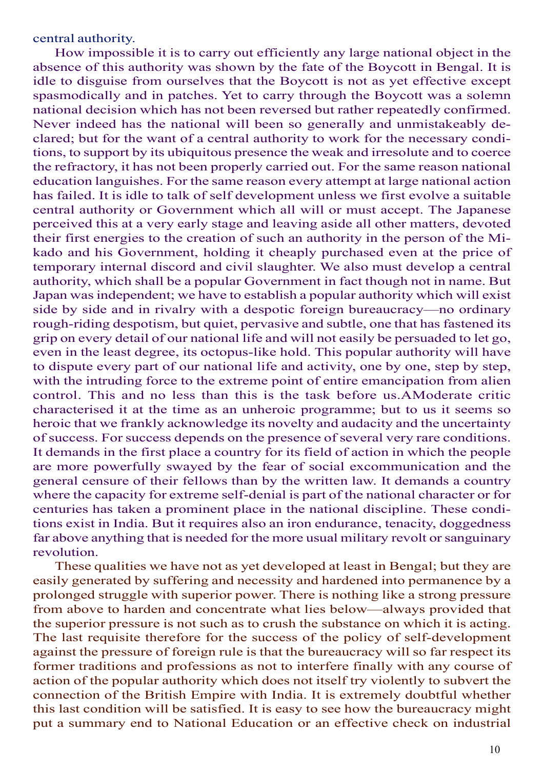central authority.

How impossible it is to carry out efficiently any large national object in the absence of this authority was shown by the fate of the Boycott in Bengal. It is idle to disguise from ourselves that the Boycott is not as yet effective except spasmodically and in patches. Yet to carry through the Boycott was a solemn national decision which has not been reversed but rather repeatedly confirmed. Never indeed has the national will been so generally and unmistakeably declared; but for the want of a central authority to work for the necessary conditions, to support by its ubiquitous presence the weak and irresolute and to coerce the refractory, it has not been properly carried out. For the same reason national education languishes. For the same reason every attempt at large national action has failed. It is idle to talk of self development unless we first evolve a suitable central authority or Government which all will or must accept. The Japanese perceived this at a very early stage and leaving aside all other matters, devoted their first energies to the creation of such an authority in the person of the Mikado and his Government, holding it cheaply purchased even at the price of temporary internal discord and civil slaughter. We also must develop a central authority, which shall be a popular Government in fact though not in name. But Japan was independent; we have to establish a popular authority which will exist side by side and in rivalry with a despotic foreign bureaucracy—no ordinary rough-riding despotism, but quiet, pervasive and subtle, one that has fastened its grip on every detail of our national life and will not easily be persuaded to let go, even in the least degree, its octopus-like hold. This popular authority will have to dispute every part of our national life and activity, one by one, step by step, with the intruding force to the extreme point of entire emancipation from alien control. This and no less than this is the task before us.AModerate critic characterised it at the time as an unheroic programme; but to us it seems so heroic that we frankly acknowledge its novelty and audacity and the uncertainty of success. For success depends on the presence of several very rare conditions. It demands in the first place a country for its field of action in which the people are more powerfully swayed by the fear of social excommunication and the general censure of their fellows than by the written law. It demands a country where the capacity for extreme self-denial is part of the national character or for centuries has taken a prominent place in the national discipline. These conditions exist in India. But it requires also an iron endurance, tenacity, doggedness far above anything that is needed for the more usual military revolt or sanguinary revolution.

These qualities we have not as yet developed at least in Bengal; but they are easily generated by suffering and necessity and hardened into permanence by a prolonged struggle with superior power. There is nothing like a strong pressure from above to harden and concentrate what lies below—always provided that the superior pressure is not such as to crush the substance on which it is acting. The last requisite therefore for the success of the policy of self-development against the pressure of foreign rule is that the bureaucracy will so far respect its former traditions and professions as not to interfere finally with any course of action of the popular authority which does not itself try violently to subvert the connection of the British Empire with India. It is extremely doubtful whether this last condition will be satisfied. It is easy to see how the bureaucracy might put a summary end to National Education or an effective check on industrial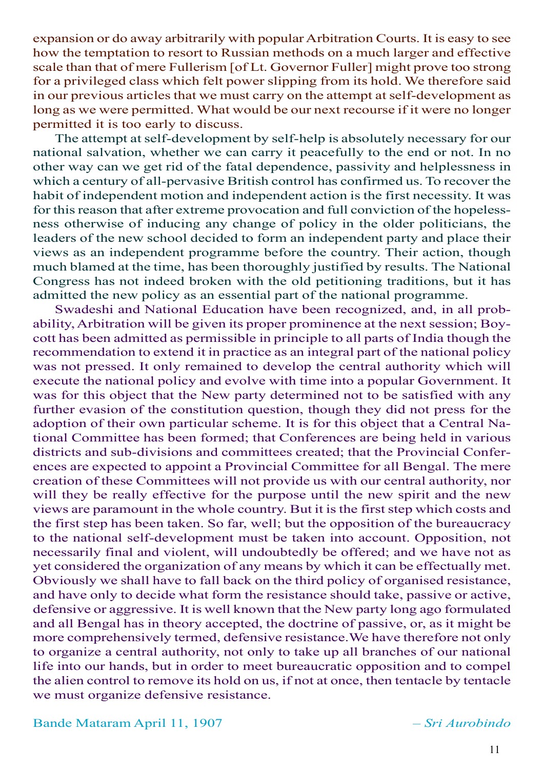expansion or do away arbitrarily with popular Arbitration Courts. It is easy to see how the temptation to resort to Russian methods on a much larger and effective scale than that of mere Fullerism [of Lt. Governor Fuller] might prove too strong for a privileged class which felt power slipping from its hold. We therefore said in our previous articles that we must carry on the attempt at self-development as long as we were permitted. What would be our next recourse if it were no longer permitted it is too early to discuss.

The attempt at self-development by self-help is absolutely necessary for our national salvation, whether we can carry it peacefully to the end or not. In no other way can we get rid of the fatal dependence, passivity and helplessness in which a century of all-pervasive British control has confirmed us. To recover the habit of independent motion and independent action is the first necessity. It was for this reason that after extreme provocation and full conviction of the hopelessness otherwise of inducing any change of policy in the older politicians, the leaders of the new school decided to form an independent party and place their views as an independent programme before the country. Their action, though much blamed at the time, has been thoroughly justified by results. The National Congress has not indeed broken with the old petitioning traditions, but it has admitted the new policy as an essential part of the national programme.

Swadeshi and National Education have been recognized, and, in all probability, Arbitration will be given its proper prominence at the next session; Boycott has been admitted as permissible in principle to all parts of India though the recommendation to extend it in practice as an integral part of the national policy was not pressed. It only remained to develop the central authority which will execute the national policy and evolve with time into a popular Government. It was for this object that the New party determined not to be satisfied with any further evasion of the constitution question, though they did not press for the adoption of their own particular scheme. It is for this object that a Central National Committee has been formed; that Conferences are being held in various districts and sub-divisions and committees created; that the Provincial Conferences are expected to appoint a Provincial Committee for all Bengal. The mere creation of these Committees will not provide us with our central authority, nor will they be really effective for the purpose until the new spirit and the new views are paramount in the whole country. But it is the first step which costs and the first step has been taken. So far, well; but the opposition of the bureaucracy to the national self-development must be taken into account. Opposition, not necessarily final and violent, will undoubtedly be offered; and we have not as yet considered the organization of any means by which it can be effectually met. Obviously we shall have to fall back on the third policy of organised resistance, and have only to decide what form the resistance should take, passive or active, defensive or aggressive. It is well known that the New party long ago formulated and all Bengal has in theory accepted, the doctrine of passive, or, as it might be more comprehensively termed, defensive resistance.We have therefore not only to organize a central authority, not only to take up all branches of our national life into our hands, but in order to meet bureaucratic opposition and to compel the alien control to remove its hold on us, if not at once, then tentacle by tentacle we must organize defensive resistance.

Bande Mataram April 11, 1907 – Sri Aurobindo